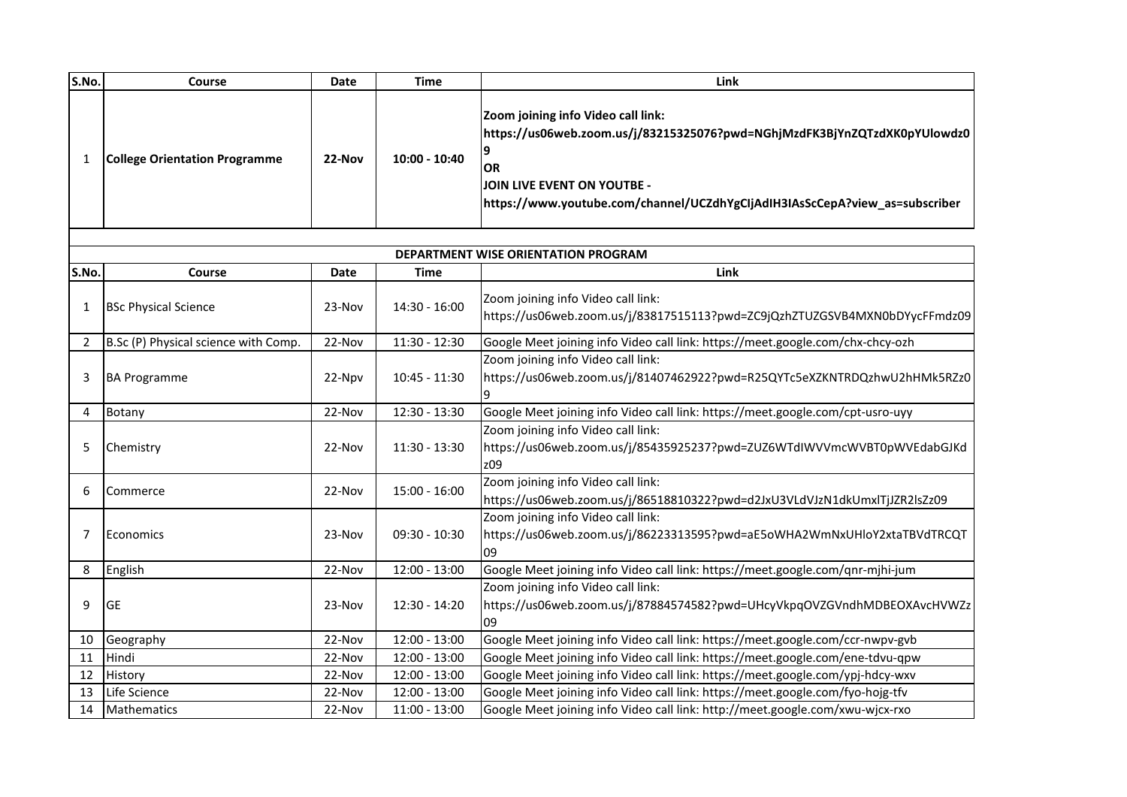| S.No.                               | Course                               | <b>Date</b> | <b>Time</b>     | Link                                                                                                                                                                                                                                       |  |  |  |
|-------------------------------------|--------------------------------------|-------------|-----------------|--------------------------------------------------------------------------------------------------------------------------------------------------------------------------------------------------------------------------------------------|--|--|--|
| 1                                   | <b>College Orientation Programme</b> | 22-Nov      | 10:00 - 10:40   | Zoom joining info Video call link:<br>https://us06web.zoom.us/j/83215325076?pwd=NGhjMzdFK3BjYnZQTzdXK0pYUlowdz0<br><b>OR</b><br>JOIN LIVE EVENT ON YOUTBE -<br>https://www.youtube.com/channel/UCZdhYgCIjAdIH3IAsScCepA?view_as=subscriber |  |  |  |
| DEPARTMENT WISE ORIENTATION PROGRAM |                                      |             |                 |                                                                                                                                                                                                                                            |  |  |  |
| S.No.                               | Course                               | Date        | <b>Time</b>     | Link                                                                                                                                                                                                                                       |  |  |  |
|                                     |                                      |             |                 |                                                                                                                                                                                                                                            |  |  |  |
| 1                                   | <b>BSc Physical Science</b>          | 23-Nov      | $14:30 - 16:00$ | Zoom joining info Video call link:<br>https://us06web.zoom.us/j/83817515113?pwd=ZC9jQzhZTUZGSVB4MXN0bDYycFFmdz09                                                                                                                           |  |  |  |
| 2                                   | B.Sc (P) Physical science with Comp. | 22-Nov      | 11:30 - 12:30   | Google Meet joining info Video call link: https://meet.google.com/chx-chcy-ozh                                                                                                                                                             |  |  |  |
| 3                                   | <b>BA Programme</b>                  | 22-Npv      | $10:45 - 11:30$ | Zoom joining info Video call link:<br>https://us06web.zoom.us/j/81407462922?pwd=R25QYTc5eXZKNTRDQzhwU2hHMk5RZz0                                                                                                                            |  |  |  |
| 4                                   | Botany                               | 22-Nov      | 12:30 - 13:30   | Google Meet joining info Video call link: https://meet.google.com/cpt-usro-uyy                                                                                                                                                             |  |  |  |
| 5                                   | Chemistry                            | 22-Nov      | 11:30 - 13:30   | Zoom joining info Video call link:<br>https://us06web.zoom.us/j/85435925237?pwd=ZUZ6WTdIWVVmcWVBT0pWVEdabGJKd<br>z09                                                                                                                       |  |  |  |
| 6                                   | Commerce                             | 22-Nov      | $15:00 - 16:00$ | Zoom joining info Video call link:<br>https://us06web.zoom.us/j/86518810322?pwd=d2JxU3VLdVJzN1dkUmxlTjJZR2lsZz09                                                                                                                           |  |  |  |
| 7                                   | Economics                            | 23-Nov      | $09:30 - 10:30$ | Zoom joining info Video call link:<br>https://us06web.zoom.us/j/86223313595?pwd=aE5oWHA2WmNxUHloY2xtaTBVdTRCQT<br>09                                                                                                                       |  |  |  |
| 8                                   | English                              | 22-Nov      | $12:00 - 13:00$ | Google Meet joining info Video call link: https://meet.google.com/qnr-mjhi-jum                                                                                                                                                             |  |  |  |
| 9                                   | <b>GE</b>                            | 23-Nov      | 12:30 - 14:20   | Zoom joining info Video call link:<br>https://us06web.zoom.us/j/87884574582?pwd=UHcyVkpqOVZGVndhMDBEOXAvcHVWZz<br>09                                                                                                                       |  |  |  |
| 10                                  | Geography                            | 22-Nov      | $12:00 - 13:00$ | Google Meet joining info Video call link: https://meet.google.com/ccr-nwpv-gvb                                                                                                                                                             |  |  |  |
| 11                                  | Hindi                                | 22-Nov      | $12:00 - 13:00$ | Google Meet joining info Video call link: https://meet.google.com/ene-tdvu-qpw                                                                                                                                                             |  |  |  |
| 12                                  | History                              | 22-Nov      | $12:00 - 13:00$ | Google Meet joining info Video call link: https://meet.google.com/ypj-hdcy-wxv                                                                                                                                                             |  |  |  |
| 13                                  | Life Science                         | 22-Nov      | 12:00 - 13:00   | Google Meet joining info Video call link: https://meet.google.com/fyo-hojg-tfv                                                                                                                                                             |  |  |  |
| 14                                  | Mathematics                          | 22-Nov      | $11:00 - 13:00$ | Google Meet joining info Video call link: http://meet.google.com/xwu-wjcx-rxo                                                                                                                                                              |  |  |  |